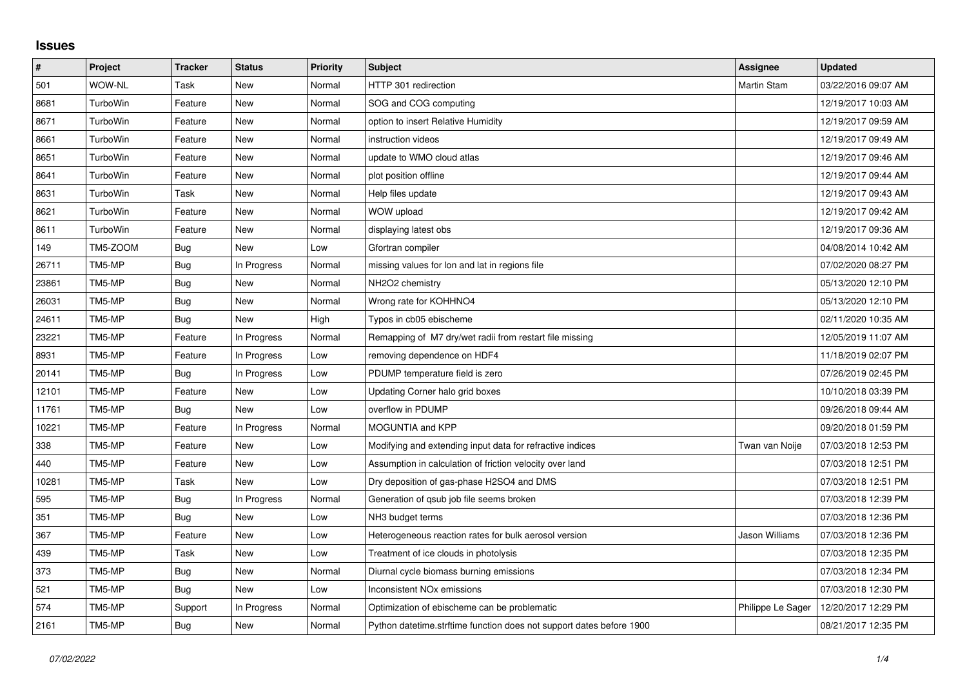## **Issues**

| $\sharp$ | <b>Project</b> | <b>Tracker</b> | <b>Status</b> | <b>Priority</b> | <b>Subject</b>                                                       | Assignee          | <b>Updated</b>      |
|----------|----------------|----------------|---------------|-----------------|----------------------------------------------------------------------|-------------------|---------------------|
| 501      | <b>WOW-NL</b>  | Task           | New           | Normal          | HTTP 301 redirection                                                 | Martin Stam       | 03/22/2016 09:07 AM |
| 8681     | TurboWin       | Feature        | <b>New</b>    | Normal          | SOG and COG computing                                                |                   | 12/19/2017 10:03 AM |
| 8671     | TurboWin       | Feature        | New           | Normal          | option to insert Relative Humidity                                   |                   | 12/19/2017 09:59 AM |
| 8661     | TurboWin       | Feature        | New           | Normal          | instruction videos                                                   |                   | 12/19/2017 09:49 AM |
| 8651     | TurboWin       | Feature        | New           | Normal          | update to WMO cloud atlas                                            |                   | 12/19/2017 09:46 AM |
| 8641     | TurboWin       | Feature        | <b>New</b>    | Normal          | plot position offline                                                |                   | 12/19/2017 09:44 AM |
| 8631     | TurboWin       | Task           | New           | Normal          | Help files update                                                    |                   | 12/19/2017 09:43 AM |
| 8621     | TurboWin       | Feature        | New           | Normal          | WOW upload                                                           |                   | 12/19/2017 09:42 AM |
| 8611     | TurboWin       | Feature        | New           | Normal          | displaying latest obs                                                |                   | 12/19/2017 09:36 AM |
| 149      | TM5-ZOOM       | <b>Bug</b>     | <b>New</b>    | Low             | Gfortran compiler                                                    |                   | 04/08/2014 10:42 AM |
| 26711    | TM5-MP         | <b>Bug</b>     | In Progress   | Normal          | missing values for lon and lat in regions file                       |                   | 07/02/2020 08:27 PM |
| 23861    | TM5-MP         | Bug            | New           | Normal          | NH <sub>2</sub> O <sub>2</sub> chemistry                             |                   | 05/13/2020 12:10 PM |
| 26031    | TM5-MP         | Bug            | <b>New</b>    | Normal          | Wrong rate for KOHHNO4                                               |                   | 05/13/2020 12:10 PM |
| 24611    | TM5-MP         | Bug            | New           | High            | Typos in cb05 ebischeme                                              |                   | 02/11/2020 10:35 AM |
| 23221    | TM5-MP         | Feature        | In Progress   | Normal          | Remapping of M7 dry/wet radii from restart file missing              |                   | 12/05/2019 11:07 AM |
| 8931     | TM5-MP         | Feature        | In Progress   | Low             | removing dependence on HDF4                                          |                   | 11/18/2019 02:07 PM |
| 20141    | TM5-MP         | Bug            | In Progress   | Low             | PDUMP temperature field is zero                                      |                   | 07/26/2019 02:45 PM |
| 12101    | TM5-MP         | Feature        | <b>New</b>    | Low             | Updating Corner halo grid boxes                                      |                   | 10/10/2018 03:39 PM |
| 11761    | TM5-MP         | <b>Bug</b>     | New           | Low             | overflow in PDUMP                                                    |                   | 09/26/2018 09:44 AM |
| 10221    | TM5-MP         | Feature        | In Progress   | Normal          | MOGUNTIA and KPP                                                     |                   | 09/20/2018 01:59 PM |
| 338      | TM5-MP         | Feature        | New           | Low             | Modifying and extending input data for refractive indices            | Twan van Noije    | 07/03/2018 12:53 PM |
| 440      | TM5-MP         | Feature        | New           | Low             | Assumption in calculation of friction velocity over land             |                   | 07/03/2018 12:51 PM |
| 10281    | TM5-MP         | Task           | <b>New</b>    | Low             | Dry deposition of gas-phase H2SO4 and DMS                            |                   | 07/03/2018 12:51 PM |
| 595      | TM5-MP         | Bug            | In Progress   | Normal          | Generation of qsub job file seems broken                             |                   | 07/03/2018 12:39 PM |
| 351      | TM5-MP         | Bug            | New           | Low             | NH3 budget terms                                                     |                   | 07/03/2018 12:36 PM |
| 367      | TM5-MP         | Feature        | <b>New</b>    | Low             | Heterogeneous reaction rates for bulk aerosol version                | Jason Williams    | 07/03/2018 12:36 PM |
| 439      | TM5-MP         | Task           | New           | Low             | Treatment of ice clouds in photolysis                                |                   | 07/03/2018 12:35 PM |
| 373      | TM5-MP         | Bug            | New           | Normal          | Diurnal cycle biomass burning emissions                              |                   | 07/03/2018 12:34 PM |
| 521      | TM5-MP         | Bug            | New           | Low             | Inconsistent NO <sub>x</sub> emissions                               |                   | 07/03/2018 12:30 PM |
| 574      | TM5-MP         | Support        | In Progress   | Normal          | Optimization of ebischeme can be problematic                         | Philippe Le Sager | 12/20/2017 12:29 PM |
| 2161     | TM5-MP         | Bug            | <b>New</b>    | Normal          | Python datetime.strftime function does not support dates before 1900 |                   | 08/21/2017 12:35 PM |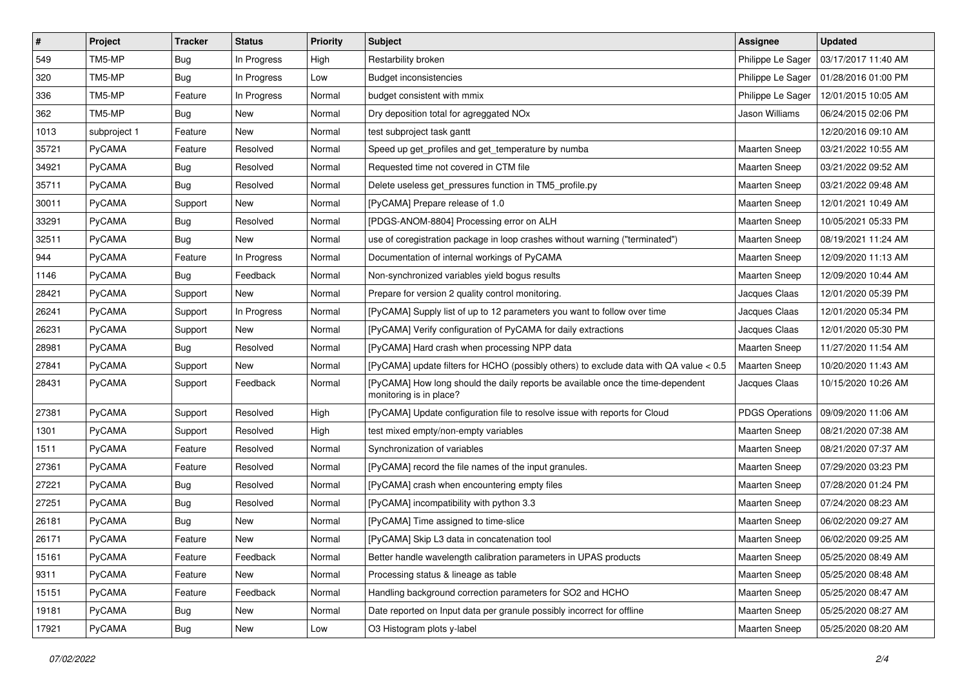| $\sharp$ | Project       | <b>Tracker</b> | <b>Status</b> | <b>Priority</b> | <b>Subject</b>                                                                                             | <b>Assignee</b>        | <b>Updated</b>      |
|----------|---------------|----------------|---------------|-----------------|------------------------------------------------------------------------------------------------------------|------------------------|---------------------|
| 549      | TM5-MP        | <b>Bug</b>     | In Progress   | High            | Restarbility broken                                                                                        | Philippe Le Sager      | 03/17/2017 11:40 AM |
| 320      | TM5-MP        | <b>Bug</b>     | In Progress   | Low             | <b>Budget inconsistencies</b>                                                                              | Philippe Le Sager      | 01/28/2016 01:00 PM |
| 336      | TM5-MP        | Feature        | In Progress   | Normal          | budget consistent with mmix                                                                                | Philippe Le Sager      | 12/01/2015 10:05 AM |
| 362      | TM5-MP        | Bug            | New           | Normal          | Dry deposition total for agreggated NO <sub>x</sub>                                                        | Jason Williams         | 06/24/2015 02:06 PM |
| 1013     | subproject 1  | Feature        | New           | Normal          | test subproject task gantt                                                                                 |                        | 12/20/2016 09:10 AM |
| 35721    | <b>PyCAMA</b> | Feature        | Resolved      | Normal          | Speed up get_profiles and get_temperature by numba                                                         | Maarten Sneep          | 03/21/2022 10:55 AM |
| 34921    | <b>PyCAMA</b> | <b>Bug</b>     | Resolved      | Normal          | Requested time not covered in CTM file                                                                     | Maarten Sneep          | 03/21/2022 09:52 AM |
| 35711    | <b>PyCAMA</b> | <b>Bug</b>     | Resolved      | Normal          | Delete useless get pressures function in TM5 profile.py                                                    | <b>Maarten Sneep</b>   | 03/21/2022 09:48 AM |
| 30011    | PyCAMA        | Support        | New           | Normal          | [PyCAMA] Prepare release of 1.0                                                                            | Maarten Sneep          | 12/01/2021 10:49 AM |
| 33291    | PyCAMA        | <b>Bug</b>     | Resolved      | Normal          | [PDGS-ANOM-8804] Processing error on ALH                                                                   | Maarten Sneep          | 10/05/2021 05:33 PM |
| 32511    | PyCAMA        | <b>Bug</b>     | New           | Normal          | use of coregistration package in loop crashes without warning ("terminated")                               | <b>Maarten Sneep</b>   | 08/19/2021 11:24 AM |
| 944      | PyCAMA        | Feature        | In Progress   | Normal          | Documentation of internal workings of PyCAMA                                                               | <b>Maarten Sneep</b>   | 12/09/2020 11:13 AM |
| 1146     | <b>PyCAMA</b> | <b>Bug</b>     | Feedback      | Normal          | Non-synchronized variables yield bogus results                                                             | Maarten Sneep          | 12/09/2020 10:44 AM |
| 28421    | PyCAMA        | Support        | New           | Normal          | Prepare for version 2 quality control monitoring.                                                          | Jacques Claas          | 12/01/2020 05:39 PM |
| 26241    | PyCAMA        | Support        | In Progress   | Normal          | [PyCAMA] Supply list of up to 12 parameters you want to follow over time                                   | Jacques Claas          | 12/01/2020 05:34 PM |
| 26231    | <b>PyCAMA</b> | Support        | New           | Normal          | [PyCAMA] Verify configuration of PyCAMA for daily extractions                                              | Jacques Claas          | 12/01/2020 05:30 PM |
| 28981    | <b>PyCAMA</b> | <b>Bug</b>     | Resolved      | Normal          | [PyCAMA] Hard crash when processing NPP data                                                               | <b>Maarten Sneep</b>   | 11/27/2020 11:54 AM |
| 27841    | <b>PyCAMA</b> | Support        | New           | Normal          | [PyCAMA] update filters for HCHO (possibly others) to exclude data with QA value < 0.5                     | <b>Maarten Sneep</b>   | 10/20/2020 11:43 AM |
| 28431    | PyCAMA        | Support        | Feedback      | Normal          | [PyCAMA] How long should the daily reports be available once the time-dependent<br>monitoring is in place? | Jacques Claas          | 10/15/2020 10:26 AM |
| 27381    | <b>PyCAMA</b> | Support        | Resolved      | High            | [PyCAMA] Update configuration file to resolve issue with reports for Cloud                                 | <b>PDGS Operations</b> | 09/09/2020 11:06 AM |
| 1301     | <b>PyCAMA</b> | Support        | Resolved      | High            | test mixed empty/non-empty variables                                                                       | Maarten Sneep          | 08/21/2020 07:38 AM |
| 1511     | PyCAMA        | Feature        | Resolved      | Normal          | Synchronization of variables                                                                               | Maarten Sneep          | 08/21/2020 07:37 AM |
| 27361    | PyCAMA        | Feature        | Resolved      | Normal          | [PyCAMA] record the file names of the input granules.                                                      | <b>Maarten Sneep</b>   | 07/29/2020 03:23 PM |
| 27221    | PyCAMA        | <b>Bug</b>     | Resolved      | Normal          | [PyCAMA] crash when encountering empty files                                                               | <b>Maarten Sneep</b>   | 07/28/2020 01:24 PM |
| 27251    | <b>PyCAMA</b> | Bug            | Resolved      | Normal          | [PyCAMA] incompatibility with python 3.3                                                                   | <b>Maarten Sneep</b>   | 07/24/2020 08:23 AM |
| 26181    | PyCAMA        | <b>Bug</b>     | New           | Normal          | [PyCAMA] Time assigned to time-slice                                                                       | <b>Maarten Sneep</b>   | 06/02/2020 09:27 AM |
| 26171    | <b>PyCAMA</b> | Feature        | New           | Normal          | [PyCAMA] Skip L3 data in concatenation tool                                                                | <b>Maarten Sneep</b>   | 06/02/2020 09:25 AM |
| 15161    | PyCAMA        | Feature        | Feedback      | Normal          | Better handle wavelength calibration parameters in UPAS products                                           | <b>Maarten Sneep</b>   | 05/25/2020 08:49 AM |
| 9311     | PyCAMA        | Feature        | New           | Normal          | Processing status & lineage as table                                                                       | Maarten Sneep          | 05/25/2020 08:48 AM |
| 15151    | PyCAMA        | Feature        | Feedback      | Normal          | Handling background correction parameters for SO2 and HCHO                                                 | Maarten Sneep          | 05/25/2020 08:47 AM |
| 19181    | PyCAMA        | <b>Bug</b>     | New           | Normal          | Date reported on Input data per granule possibly incorrect for offline                                     | Maarten Sneep          | 05/25/2020 08:27 AM |
| 17921    | PyCAMA        | Bug            | New           | Low             | O3 Histogram plots y-label                                                                                 | Maarten Sneep          | 05/25/2020 08:20 AM |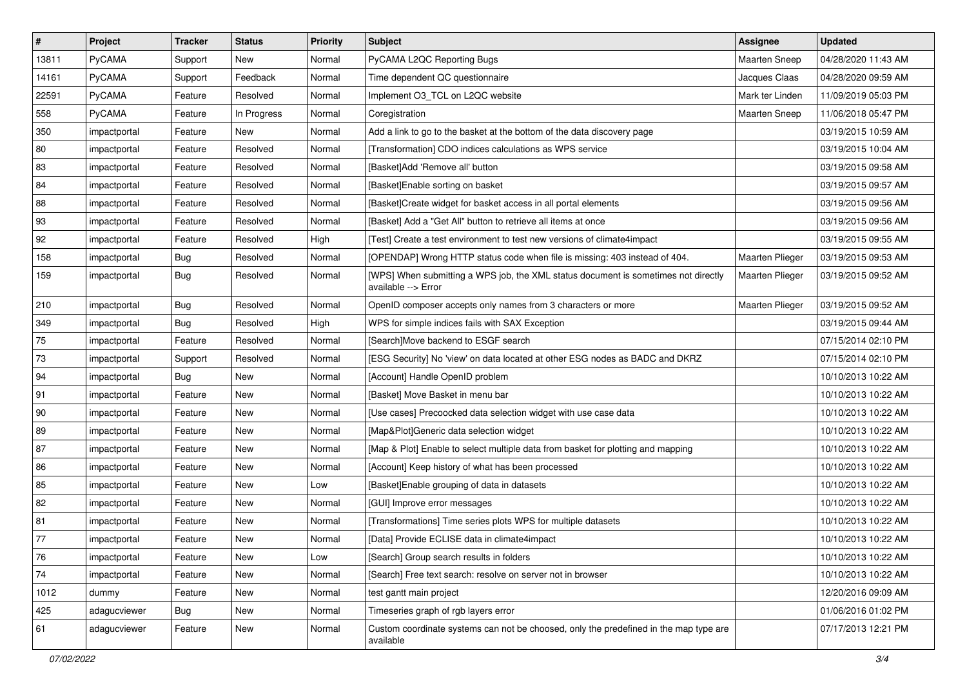| $\sharp$     | Project       | <b>Tracker</b> | <b>Status</b> | <b>Priority</b> | Subject                                                                                                   | Assignee             | <b>Updated</b>      |
|--------------|---------------|----------------|---------------|-----------------|-----------------------------------------------------------------------------------------------------------|----------------------|---------------------|
| 13811        | PyCAMA        | Support        | New           | Normal          | PyCAMA L2QC Reporting Bugs                                                                                | Maarten Sneep        | 04/28/2020 11:43 AM |
| 14161        | PyCAMA        | Support        | Feedback      | Normal          | Time dependent QC questionnaire                                                                           | Jacques Claas        | 04/28/2020 09:59 AM |
| 22591        | <b>PyCAMA</b> | Feature        | Resolved      | Normal          | Implement O3_TCL on L2QC website                                                                          | Mark ter Linden      | 11/09/2019 05:03 PM |
| 558          | <b>PyCAMA</b> | Feature        | In Progress   | Normal          | Coregistration                                                                                            | <b>Maarten Sneep</b> | 11/06/2018 05:47 PM |
| 350          | impactportal  | Feature        | <b>New</b>    | Normal          | Add a link to go to the basket at the bottom of the data discovery page                                   |                      | 03/19/2015 10:59 AM |
| 80           | impactportal  | Feature        | Resolved      | Normal          | [Transformation] CDO indices calculations as WPS service                                                  |                      | 03/19/2015 10:04 AM |
| 83           | impactportal  | Feature        | Resolved      | Normal          | [Basket]Add 'Remove all' button                                                                           |                      | 03/19/2015 09:58 AM |
| 84           | impactportal  | Feature        | Resolved      | Normal          | [Basket]Enable sorting on basket                                                                          |                      | 03/19/2015 09:57 AM |
| 88           | impactportal  | Feature        | Resolved      | Normal          | [Basket]Create widget for basket access in all portal elements                                            |                      | 03/19/2015 09:56 AM |
| 93           | impactportal  | Feature        | Resolved      | Normal          | [Basket] Add a "Get All" button to retrieve all items at once                                             |                      | 03/19/2015 09:56 AM |
| 92           | impactportal  | Feature        | Resolved      | High            | [Test] Create a test environment to test new versions of climate4impact                                   |                      | 03/19/2015 09:55 AM |
| 158          | impactportal  | <b>Bug</b>     | Resolved      | Normal          | [OPENDAP] Wrong HTTP status code when file is missing: 403 instead of 404.                                | Maarten Plieger      | 03/19/2015 09:53 AM |
| 159          | impactportal  | Bug            | Resolved      | Normal          | [WPS] When submitting a WPS job, the XML status document is sometimes not directly<br>available --> Error | Maarten Plieger      | 03/19/2015 09:52 AM |
| 210          | impactportal  | <b>Bug</b>     | Resolved      | Normal          | OpenID composer accepts only names from 3 characters or more                                              | Maarten Plieger      | 03/19/2015 09:52 AM |
| 349          | impactportal  | <b>Bug</b>     | Resolved      | High            | WPS for simple indices fails with SAX Exception                                                           |                      | 03/19/2015 09:44 AM |
| 75           | impactportal  | Feature        | Resolved      | Normal          | [Search]Move backend to ESGF search                                                                       |                      | 07/15/2014 02:10 PM |
| 73           | impactportal  | Support        | Resolved      | Normal          | [ESG Security] No 'view' on data located at other ESG nodes as BADC and DKRZ                              |                      | 07/15/2014 02:10 PM |
| 94           | impactportal  | <b>Bug</b>     | New           | Normal          | [Account] Handle OpenID problem                                                                           |                      | 10/10/2013 10:22 AM |
| 91           | impactportal  | Feature        | New           | Normal          | [Basket] Move Basket in menu bar                                                                          |                      | 10/10/2013 10:22 AM |
| $ 90\rangle$ | impactportal  | Feature        | New           | Normal          | [Use cases] Precoocked data selection widget with use case data                                           |                      | 10/10/2013 10:22 AM |
| 89           | impactportal  | Feature        | New           | Normal          | [Map&Plot]Generic data selection widget                                                                   |                      | 10/10/2013 10:22 AM |
| 87           | impactportal  | Feature        | New           | Normal          | [Map & Plot] Enable to select multiple data from basket for plotting and mapping                          |                      | 10/10/2013 10:22 AM |
| 86           | impactportal  | Feature        | New           | Normal          | [Account] Keep history of what has been processed                                                         |                      | 10/10/2013 10:22 AM |
| 85           | impactportal  | Feature        | New           | Low             | [Basket]Enable grouping of data in datasets                                                               |                      | 10/10/2013 10:22 AM |
| 82           | impactportal  | Feature        | New           | Normal          | [GUI] Improve error messages                                                                              |                      | 10/10/2013 10:22 AM |
| 81           | impactportal  | Feature        | New           | Normal          | [Transformations] Time series plots WPS for multiple datasets                                             |                      | 10/10/2013 10:22 AM |
| 77           | impactportal  | Feature        | New           | Normal          | [Data] Provide ECLISE data in climate4impact                                                              |                      | 10/10/2013 10:22 AM |
| 76           | impactportal  | Feature        | New           | Low             | [Search] Group search results in folders                                                                  |                      | 10/10/2013 10:22 AM |
| 74           | impactportal  | Feature        | New           | Normal          | [Search] Free text search: resolve on server not in browser                                               |                      | 10/10/2013 10:22 AM |
| 1012         | dummy         | Feature        | New           | Normal          | test gantt main project                                                                                   |                      | 12/20/2016 09:09 AM |
| 425          | adagucviewer  | Bug            | New           | Normal          | Timeseries graph of rgb layers error                                                                      |                      | 01/06/2016 01:02 PM |
| 61           | adagucviewer  | Feature        | New           | Normal          | Custom coordinate systems can not be choosed, only the predefined in the map type are<br>available        |                      | 07/17/2013 12:21 PM |